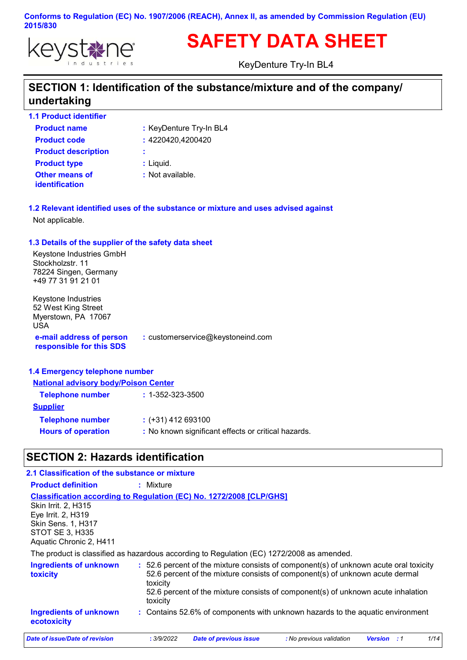

# **SAFETY DATA SHEET**

KeyDenture Try-In BL4

# **SECTION 1: Identification of the substance/mixture and of the company/ undertaking**

**1.1 Product identifier**

| <b>Product name</b>                            | : KeyDenture Try-In BL4 |
|------------------------------------------------|-------------------------|
| <b>Product code</b>                            | : 4220420,4200420       |
| <b>Product description</b>                     | ÷                       |
| <b>Product type</b>                            | : Liguid.               |
| <b>Other means of</b><br><b>identification</b> | : Not available.        |

**1.2 Relevant identified uses of the substance or mixture and uses advised against** Not applicable.

#### **1.3 Details of the supplier of the safety data sheet**

Keystone Industries GmbH Stockholzstr. 11 78224 Singen, Germany +49 77 31 91 21 01

**e-mail address of person responsible for this SDS :** customerservice@keystoneind.com Keystone Industries 52 West King Street Myerstown, PA 17067 USA

#### **1.4 Emergency telephone number**

| <b>National advisory body/Poison Center</b>         |  |  |
|-----------------------------------------------------|--|--|
| $: 1 - 352 - 323 - 3500$                            |  |  |
|                                                     |  |  |
| $:$ (+31) 412 693100                                |  |  |
| : No known significant effects or critical hazards. |  |  |
|                                                     |  |  |

# **SECTION 2: Hazards identification**

| 2.1 Classification of the substance or mixture                                                                              |                                                                                                                                                                                                                                                                                   |
|-----------------------------------------------------------------------------------------------------------------------------|-----------------------------------------------------------------------------------------------------------------------------------------------------------------------------------------------------------------------------------------------------------------------------------|
| <b>Product definition</b>                                                                                                   | $:$ Mixture                                                                                                                                                                                                                                                                       |
| <b>Skin Irrit. 2. H315</b><br>Eye Irrit. 2, H319<br>Skin Sens. 1, H317<br><b>STOT SE 3, H335</b><br>Aquatic Chronic 2, H411 | <b>Classification according to Regulation (EC) No. 1272/2008 [CLP/GHS]</b>                                                                                                                                                                                                        |
|                                                                                                                             | The product is classified as hazardous according to Regulation (EC) 1272/2008 as amended.                                                                                                                                                                                         |
| <b>Ingredients of unknown</b><br><b>toxicity</b>                                                                            | : 52.6 percent of the mixture consists of component(s) of unknown acute oral toxicity<br>52.6 percent of the mixture consists of component(s) of unknown acute dermal<br>toxicity<br>52.6 percent of the mixture consists of component(s) of unknown acute inhalation<br>toxicity |
| <b>Ingredients of unknown</b><br>ecotoxicity                                                                                | : Contains 52.6% of components with unknown hazards to the aquatic environment                                                                                                                                                                                                    |
| Date of issue/Date of revision                                                                                              | 1/14<br><b>Date of previous issue</b><br>: No previous validation<br>: 3/9/2022<br><b>Version</b> : 1                                                                                                                                                                             |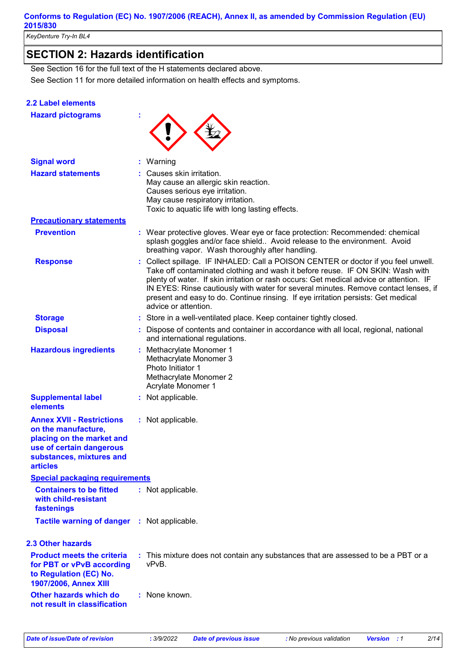*KeyDenture Try-In BL4* 

# **SECTION 2: Hazards identification**

See Section 11 for more detailed information on health effects and symptoms. See Section 16 for the full text of the H statements declared above.

#### **2.2 Label elements**

| <b>Hazard pictograms</b>                                                                                                                                        |                                                                                                                                                                                                                                                                                                                                                                                                                                                                   |
|-----------------------------------------------------------------------------------------------------------------------------------------------------------------|-------------------------------------------------------------------------------------------------------------------------------------------------------------------------------------------------------------------------------------------------------------------------------------------------------------------------------------------------------------------------------------------------------------------------------------------------------------------|
| <b>Signal word</b>                                                                                                                                              | Warning                                                                                                                                                                                                                                                                                                                                                                                                                                                           |
| <b>Hazard statements</b>                                                                                                                                        | Causes skin irritation.<br>May cause an allergic skin reaction.<br>Causes serious eye irritation.<br>May cause respiratory irritation.<br>Toxic to aquatic life with long lasting effects.                                                                                                                                                                                                                                                                        |
| <b>Precautionary statements</b>                                                                                                                                 |                                                                                                                                                                                                                                                                                                                                                                                                                                                                   |
| <b>Prevention</b>                                                                                                                                               | : Wear protective gloves. Wear eye or face protection: Recommended: chemical<br>splash goggles and/or face shield Avoid release to the environment. Avoid<br>breathing vapor. Wash thoroughly after handling.                                                                                                                                                                                                                                                     |
| <b>Response</b>                                                                                                                                                 | Collect spillage. IF INHALED: Call a POISON CENTER or doctor if you feel unwell.<br>Take off contaminated clothing and wash it before reuse. IF ON SKIN: Wash with<br>plenty of water. If skin irritation or rash occurs: Get medical advice or attention. IF<br>IN EYES: Rinse cautiously with water for several minutes. Remove contact lenses, if<br>present and easy to do. Continue rinsing. If eye irritation persists: Get medical<br>advice or attention. |
| <b>Storage</b>                                                                                                                                                  | Store in a well-ventilated place. Keep container tightly closed.                                                                                                                                                                                                                                                                                                                                                                                                  |
| <b>Disposal</b>                                                                                                                                                 | Dispose of contents and container in accordance with all local, regional, national<br>and international regulations.                                                                                                                                                                                                                                                                                                                                              |
| <b>Hazardous ingredients</b>                                                                                                                                    | : Methacrylate Monomer 1<br>Methacrylate Monomer 3<br>Photo Initiator 1<br>Methacrylate Monomer 2<br>Acrylate Monomer 1                                                                                                                                                                                                                                                                                                                                           |
| <b>Supplemental label</b><br>elements                                                                                                                           | : Not applicable.                                                                                                                                                                                                                                                                                                                                                                                                                                                 |
| <b>Annex XVII - Restrictions</b><br>on the manufacture,<br>placing on the market and<br>use of certain dangerous<br>substances, mixtures and<br><b>articles</b> | : Not applicable.                                                                                                                                                                                                                                                                                                                                                                                                                                                 |
| <b>Special packaging requirements</b>                                                                                                                           |                                                                                                                                                                                                                                                                                                                                                                                                                                                                   |
| <b>Containers to be fitted</b><br>with child-resistant<br>fastenings                                                                                            | : Not applicable.                                                                                                                                                                                                                                                                                                                                                                                                                                                 |
| Tactile warning of danger : Not applicable.                                                                                                                     |                                                                                                                                                                                                                                                                                                                                                                                                                                                                   |
| <b>2.3 Other hazards</b>                                                                                                                                        |                                                                                                                                                                                                                                                                                                                                                                                                                                                                   |
| <b>Product meets the criteria</b><br>for PBT or vPvB according<br>to Regulation (EC) No.<br>1907/2006, Annex XIII                                               | : This mixture does not contain any substances that are assessed to be a PBT or a<br>vPvB.                                                                                                                                                                                                                                                                                                                                                                        |
| Other hazards which do<br>not result in classification                                                                                                          | : None known.                                                                                                                                                                                                                                                                                                                                                                                                                                                     |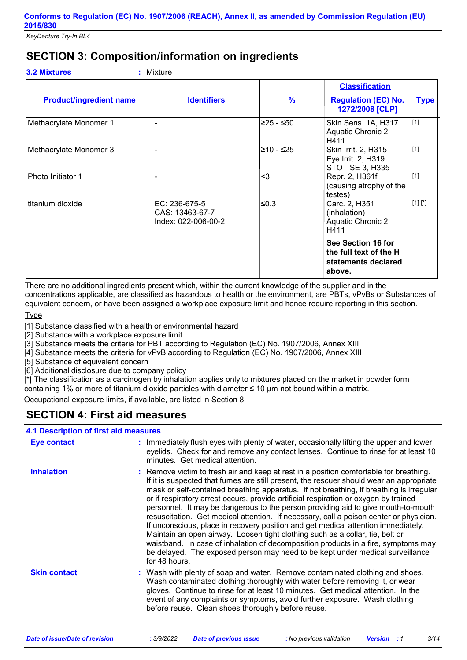# **SECTION 3: Composition/information on ingredients**

|                                |                                                         |               | <b>Classification</b>                                                         |             |
|--------------------------------|---------------------------------------------------------|---------------|-------------------------------------------------------------------------------|-------------|
| <b>Product/ingredient name</b> | <b>Identifiers</b>                                      | $\frac{9}{6}$ | <b>Regulation (EC) No.</b><br>1272/2008 [CLP]                                 | <b>Type</b> |
| Methacrylate Monomer 1         |                                                         | 225 - ≤50∣    | Skin Sens. 1A, H317<br>Aquatic Chronic 2,<br>H411                             | [1]         |
| Methacrylate Monomer 3         |                                                         | l≥10 - ≤25    | Skin Irrit. 2, H315<br>Eye Irrit. 2, H319<br><b>STOT SE 3, H335</b>           | [1]         |
| Photo Initiator 1              |                                                         | $3$           | Repr. 2, H361f<br>(causing atrophy of the<br>testes)                          | [1]         |
| titanium dioxide               | EC: 236-675-5<br>CAS: 13463-67-7<br>Index: 022-006-00-2 | l≤0.3         | Carc. 2, H351<br>(inhalation)<br>Aquatic Chronic 2,<br>H411                   | $[1] [$ *]  |
|                                |                                                         |               | See Section 16 for<br>the full text of the H<br>statements declared<br>above. |             |

There are no additional ingredients present which, within the current knowledge of the supplier and in the concentrations applicable, are classified as hazardous to health or the environment, are PBTs, vPvBs or Substances of equivalent concern, or have been assigned a workplace exposure limit and hence require reporting in this section.

#### **Type**

[1] Substance classified with a health or environmental hazard

[2] Substance with a workplace exposure limit

[3] Substance meets the criteria for PBT according to Regulation (EC) No. 1907/2006, Annex XIII

[4] Substance meets the criteria for vPvB according to Regulation (EC) No. 1907/2006, Annex XIII

[5] Substance of equivalent concern

[6] Additional disclosure due to company policy

[\*] The classification as a carcinogen by inhalation applies only to mixtures placed on the market in powder form containing 1% or more of titanium dioxide particles with diameter ≤ 10 μm not bound within a matrix.

Occupational exposure limits, if available, are listed in Section 8.

# **SECTION 4: First aid measures**

### **4.1 Description of first aid measures**

| <b>Eye contact</b>  | : Immediately flush eyes with plenty of water, occasionally lifting the upper and lower<br>eyelids. Check for and remove any contact lenses. Continue to rinse for at least 10<br>minutes. Get medical attention.                                                                                                                                                                                                                                                                                                                                                                                                                                                                                                                                                                                                                                                                                                 |
|---------------------|-------------------------------------------------------------------------------------------------------------------------------------------------------------------------------------------------------------------------------------------------------------------------------------------------------------------------------------------------------------------------------------------------------------------------------------------------------------------------------------------------------------------------------------------------------------------------------------------------------------------------------------------------------------------------------------------------------------------------------------------------------------------------------------------------------------------------------------------------------------------------------------------------------------------|
| <b>Inhalation</b>   | : Remove victim to fresh air and keep at rest in a position comfortable for breathing.<br>If it is suspected that fumes are still present, the rescuer should wear an appropriate<br>mask or self-contained breathing apparatus. If not breathing, if breathing is irregular<br>or if respiratory arrest occurs, provide artificial respiration or oxygen by trained<br>personnel. It may be dangerous to the person providing aid to give mouth-to-mouth<br>resuscitation. Get medical attention. If necessary, call a poison center or physician.<br>If unconscious, place in recovery position and get medical attention immediately.<br>Maintain an open airway. Loosen tight clothing such as a collar, tie, belt or<br>waistband. In case of inhalation of decomposition products in a fire, symptoms may<br>be delayed. The exposed person may need to be kept under medical surveillance<br>for 48 hours. |
| <b>Skin contact</b> | : Wash with plenty of soap and water. Remove contaminated clothing and shoes.<br>Wash contaminated clothing thoroughly with water before removing it, or wear<br>gloves. Continue to rinse for at least 10 minutes. Get medical attention. In the<br>event of any complaints or symptoms, avoid further exposure. Wash clothing<br>before reuse. Clean shoes thoroughly before reuse.                                                                                                                                                                                                                                                                                                                                                                                                                                                                                                                             |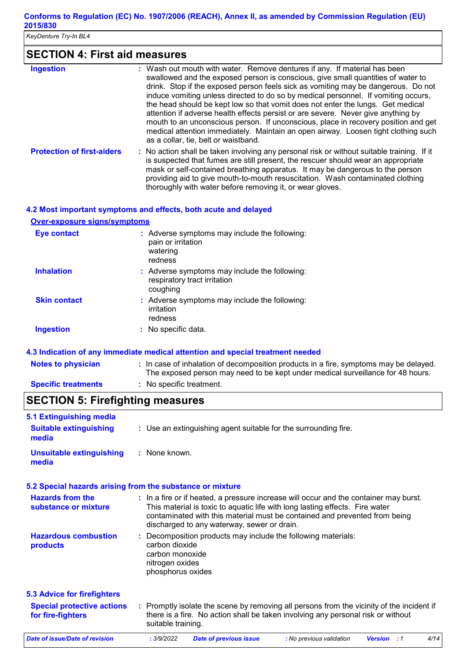*KeyDenture Try-In BL4* 

# **SECTION 4: First aid measures**

| <b>Ingestion</b>                  | : Wash out mouth with water. Remove dentures if any. If material has been<br>swallowed and the exposed person is conscious, give small quantities of water to<br>drink. Stop if the exposed person feels sick as vomiting may be dangerous. Do not<br>induce vomiting unless directed to do so by medical personnel. If vomiting occurs,<br>the head should be kept low so that vomit does not enter the lungs. Get medical<br>attention if adverse health effects persist or are severe. Never give anything by<br>mouth to an unconscious person. If unconscious, place in recovery position and get<br>medical attention immediately. Maintain an open airway. Loosen tight clothing such<br>as a collar, tie, belt or waistband. |
|-----------------------------------|--------------------------------------------------------------------------------------------------------------------------------------------------------------------------------------------------------------------------------------------------------------------------------------------------------------------------------------------------------------------------------------------------------------------------------------------------------------------------------------------------------------------------------------------------------------------------------------------------------------------------------------------------------------------------------------------------------------------------------------|
| <b>Protection of first-aiders</b> | : No action shall be taken involving any personal risk or without suitable training. If it<br>is suspected that fumes are still present, the rescuer should wear an appropriate<br>mask or self-contained breathing apparatus. It may be dangerous to the person<br>providing aid to give mouth-to-mouth resuscitation. Wash contaminated clothing<br>thoroughly with water before removing it, or wear gloves.                                                                                                                                                                                                                                                                                                                      |

#### **4.2 Most important symptoms and effects, both acute and delayed**

**Over-exposure signs/symptoms**

| <b>Eye contact</b>  | : Adverse symptoms may include the following:<br>pain or irritation<br>watering<br>redness |
|---------------------|--------------------------------------------------------------------------------------------|
| <b>Inhalation</b>   | : Adverse symptoms may include the following:<br>respiratory tract irritation<br>coughing  |
| <b>Skin contact</b> | : Adverse symptoms may include the following:<br>irritation<br>redness                     |
| <b>Ingestion</b>    | $\therefore$ No specific data.                                                             |

**4.3 Indication of any immediate medical attention and special treatment needed**

| <b>Notes to physician</b>  | : In case of inhalation of decomposition products in a fire, symptoms may be delayed.<br>The exposed person may need to be kept under medical surveillance for 48 hours. |
|----------------------------|--------------------------------------------------------------------------------------------------------------------------------------------------------------------------|
| <b>Specific treatments</b> | : No specific treatment.                                                                                                                                                 |

# **SECTION 5: Firefighting measures**

| 5.1 Extinguishing media                                |                                                                                                                                                                                                                                                                                                    |
|--------------------------------------------------------|----------------------------------------------------------------------------------------------------------------------------------------------------------------------------------------------------------------------------------------------------------------------------------------------------|
| <b>Suitable extinguishing</b><br>media                 | : Use an extinguishing agent suitable for the surrounding fire.                                                                                                                                                                                                                                    |
| <b>Unsuitable extinguishing</b><br>media               | : None known.                                                                                                                                                                                                                                                                                      |
|                                                        | 5.2 Special hazards arising from the substance or mixture                                                                                                                                                                                                                                          |
| <b>Hazards from the</b><br>substance or mixture        | : In a fire or if heated, a pressure increase will occur and the container may burst.<br>This material is toxic to aquatic life with long lasting effects. Fire water<br>contaminated with this material must be contained and prevented from being<br>discharged to any waterway, sewer or drain. |
| <b>Hazardous combustion</b><br>products                | : Decomposition products may include the following materials:<br>carbon dioxide<br>carbon monoxide<br>nitrogen oxides<br>phosphorus oxides                                                                                                                                                         |
| <b>5.3 Advice for firefighters</b>                     |                                                                                                                                                                                                                                                                                                    |
| <b>Special protective actions</b><br>for fire-fighters | : Promptly isolate the scene by removing all persons from the vicinity of the incident if<br>there is a fire. No action shall be taken involving any personal risk or without<br>suitable training.                                                                                                |
| <b>Date of issue/Date of revision</b>                  | 4/14<br>: 3/9/2022<br><b>Date of previous issue</b><br>: No previous validation<br><b>Version</b> : 1                                                                                                                                                                                              |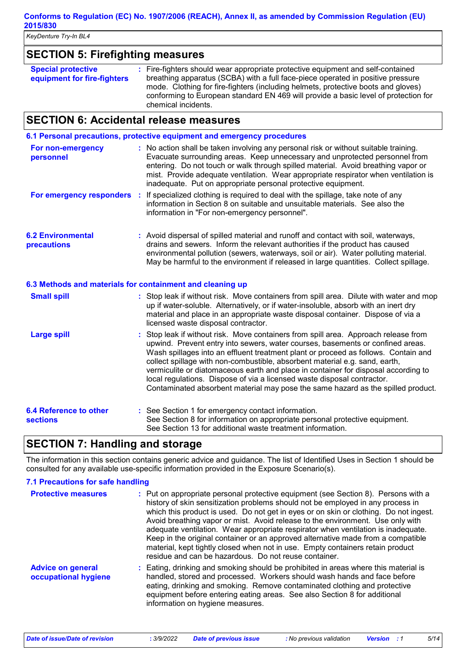*KeyDenture Try-In BL4* 

# **SECTION 5: Firefighting measures**

| <b>Special protective</b><br>equipment for fire-fighters | : Fire-fighters should wear appropriate protective equipment and self-contained<br>breathing apparatus (SCBA) with a full face-piece operated in positive pressure<br>mode. Clothing for fire-fighters (including helmets, protective boots and gloves)<br>conforming to European standard EN 469 will provide a basic level of protection for |
|----------------------------------------------------------|------------------------------------------------------------------------------------------------------------------------------------------------------------------------------------------------------------------------------------------------------------------------------------------------------------------------------------------------|
|                                                          | chemical incidents.                                                                                                                                                                                                                                                                                                                            |

# **SECTION 6: Accidental release measures**

|                                                  | 6.1 Personal precautions, protective equipment and emergency procedures                                                                                                                                                                                                                                                                                                                                                                                                                                                                                                                       |
|--------------------------------------------------|-----------------------------------------------------------------------------------------------------------------------------------------------------------------------------------------------------------------------------------------------------------------------------------------------------------------------------------------------------------------------------------------------------------------------------------------------------------------------------------------------------------------------------------------------------------------------------------------------|
| For non-emergency<br>personnel                   | : No action shall be taken involving any personal risk or without suitable training.<br>Evacuate surrounding areas. Keep unnecessary and unprotected personnel from<br>entering. Do not touch or walk through spilled material. Avoid breathing vapor or<br>mist. Provide adequate ventilation. Wear appropriate respirator when ventilation is<br>inadequate. Put on appropriate personal protective equipment.                                                                                                                                                                              |
| For emergency responders :                       | If specialized clothing is required to deal with the spillage, take note of any<br>information in Section 8 on suitable and unsuitable materials. See also the<br>information in "For non-emergency personnel".                                                                                                                                                                                                                                                                                                                                                                               |
| <b>6.2 Environmental</b><br>precautions          | : Avoid dispersal of spilled material and runoff and contact with soil, waterways,<br>drains and sewers. Inform the relevant authorities if the product has caused<br>environmental pollution (sewers, waterways, soil or air). Water polluting material.<br>May be harmful to the environment if released in large quantities. Collect spillage.                                                                                                                                                                                                                                             |
|                                                  | 6.3 Methods and materials for containment and cleaning up                                                                                                                                                                                                                                                                                                                                                                                                                                                                                                                                     |
| <b>Small spill</b>                               | : Stop leak if without risk. Move containers from spill area. Dilute with water and mop<br>up if water-soluble. Alternatively, or if water-insoluble, absorb with an inert dry<br>material and place in an appropriate waste disposal container. Dispose of via a<br>licensed waste disposal contractor.                                                                                                                                                                                                                                                                                      |
| <b>Large spill</b>                               | Stop leak if without risk. Move containers from spill area. Approach release from<br>upwind. Prevent entry into sewers, water courses, basements or confined areas.<br>Wash spillages into an effluent treatment plant or proceed as follows. Contain and<br>collect spillage with non-combustible, absorbent material e.g. sand, earth,<br>vermiculite or diatomaceous earth and place in container for disposal according to<br>local regulations. Dispose of via a licensed waste disposal contractor.<br>Contaminated absorbent material may pose the same hazard as the spilled product. |
| <b>6.4 Reference to other</b><br><b>sections</b> | : See Section 1 for emergency contact information.<br>See Section 8 for information on appropriate personal protective equipment.<br>See Section 13 for additional waste treatment information.                                                                                                                                                                                                                                                                                                                                                                                               |

# **SECTION 7: Handling and storage**

The information in this section contains generic advice and guidance. The list of Identified Uses in Section 1 should be consulted for any available use-specific information provided in the Exposure Scenario(s).

#### **7.1 Precautions for safe handling**

| <b>Protective measures</b>                       | : Put on appropriate personal protective equipment (see Section 8). Persons with a<br>history of skin sensitization problems should not be employed in any process in<br>which this product is used. Do not get in eyes or on skin or clothing. Do not ingest.<br>Avoid breathing vapor or mist. Avoid release to the environment. Use only with<br>adequate ventilation. Wear appropriate respirator when ventilation is inadequate.<br>Keep in the original container or an approved alternative made from a compatible<br>material, kept tightly closed when not in use. Empty containers retain product<br>residue and can be hazardous. Do not reuse container. |
|--------------------------------------------------|----------------------------------------------------------------------------------------------------------------------------------------------------------------------------------------------------------------------------------------------------------------------------------------------------------------------------------------------------------------------------------------------------------------------------------------------------------------------------------------------------------------------------------------------------------------------------------------------------------------------------------------------------------------------|
| <b>Advice on general</b><br>occupational hygiene | : Eating, drinking and smoking should be prohibited in areas where this material is<br>handled, stored and processed. Workers should wash hands and face before<br>eating, drinking and smoking. Remove contaminated clothing and protective<br>equipment before entering eating areas. See also Section 8 for additional<br>information on hygiene measures.                                                                                                                                                                                                                                                                                                        |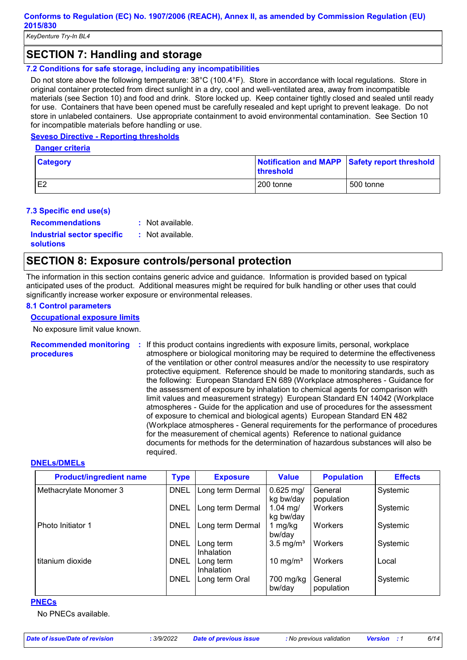## **SECTION 7: Handling and storage**

#### **7.2 Conditions for safe storage, including any incompatibilities**

Do not store above the following temperature: 38°C (100.4°F). Store in accordance with local regulations. Store in original container protected from direct sunlight in a dry, cool and well-ventilated area, away from incompatible materials (see Section 10) and food and drink. Store locked up. Keep container tightly closed and sealed until ready for use. Containers that have been opened must be carefully resealed and kept upright to prevent leakage. Do not store in unlabeled containers. Use appropriate containment to avoid environmental contamination. See Section 10 for incompatible materials before handling or use.

#### **Seveso Directive - Reporting thresholds**

**Danger criteria**

| <b>Category</b> | <b>threshold</b> | Notification and MAPP Safety report threshold |
|-----------------|------------------|-----------------------------------------------|
| E <sub>2</sub>  | 200 tonne        | 500 tonne                                     |

#### **7.3 Specific end use(s)**

**Recommendations :**

: Not available.

**Industrial sector specific : solutions**

: Not available.

# **SECTION 8: Exposure controls/personal protection**

The information in this section contains generic advice and guidance. Information is provided based on typical anticipated uses of the product. Additional measures might be required for bulk handling or other uses that could significantly increase worker exposure or environmental releases.

#### **8.1 Control parameters**

#### **Occupational exposure limits**

No exposure limit value known.

**Recommended monitoring procedures :** If this product contains ingredients with exposure limits, personal, workplace atmosphere or biological monitoring may be required to determine the effectiveness of the ventilation or other control measures and/or the necessity to use respiratory protective equipment. Reference should be made to monitoring standards, such as the following: European Standard EN 689 (Workplace atmospheres - Guidance for the assessment of exposure by inhalation to chemical agents for comparison with limit values and measurement strategy) European Standard EN 14042 (Workplace atmospheres - Guide for the application and use of procedures for the assessment of exposure to chemical and biological agents) European Standard EN 482 (Workplace atmospheres - General requirements for the performance of procedures for the measurement of chemical agents) Reference to national guidance documents for methods for the determination of hazardous substances will also be required.

#### **DNELs/DMELs**

| <b>Product/ingredient name</b> | <b>Type</b> | <b>Exposure</b>         | <b>Value</b>             | <b>Population</b>     | <b>Effects</b> |
|--------------------------------|-------------|-------------------------|--------------------------|-----------------------|----------------|
| Methacrylate Monomer 3         | <b>DNEL</b> | Long term Dermal        | $0.625$ mg/<br>kg bw/day | General<br>population | Systemic       |
|                                | <b>DNEL</b> | Long term Dermal        | 1.04 mg/<br>kg bw/day    | Workers               | Systemic       |
| Photo Initiator 1              | <b>DNEL</b> | Long term Dermal        | 1 mg/kg<br>bw/day        | Workers               | Systemic       |
|                                | <b>DNEL</b> | Long term<br>Inhalation | $3.5 \text{ mg/m}^3$     | Workers               | Systemic       |
| titanium dioxide               | <b>DNEL</b> | Long term<br>Inhalation | 10 mg/m <sup>3</sup>     | Workers               | Local          |
|                                | <b>DNEL</b> | Long term Oral          | 700 mg/kg<br>bw/day      | General<br>population | Systemic       |

#### **PNECs**

No PNECs available.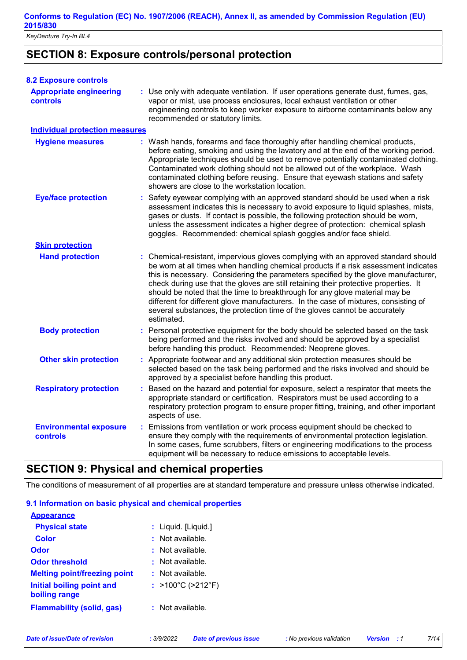*KeyDenture Try-In BL4* 

# **SECTION 8: Exposure controls/personal protection**

| <b>8.2 Exposure controls</b>                     |                                                                                                                                                                                                                                                                                                                                                                                                                                                                                                                                                                                                                           |
|--------------------------------------------------|---------------------------------------------------------------------------------------------------------------------------------------------------------------------------------------------------------------------------------------------------------------------------------------------------------------------------------------------------------------------------------------------------------------------------------------------------------------------------------------------------------------------------------------------------------------------------------------------------------------------------|
| <b>Appropriate engineering</b><br>controls       | : Use only with adequate ventilation. If user operations generate dust, fumes, gas,<br>vapor or mist, use process enclosures, local exhaust ventilation or other<br>engineering controls to keep worker exposure to airborne contaminants below any<br>recommended or statutory limits.                                                                                                                                                                                                                                                                                                                                   |
| <b>Individual protection measures</b>            |                                                                                                                                                                                                                                                                                                                                                                                                                                                                                                                                                                                                                           |
| <b>Hygiene measures</b>                          | : Wash hands, forearms and face thoroughly after handling chemical products,<br>before eating, smoking and using the lavatory and at the end of the working period.<br>Appropriate techniques should be used to remove potentially contaminated clothing.<br>Contaminated work clothing should not be allowed out of the workplace. Wash<br>contaminated clothing before reusing. Ensure that eyewash stations and safety<br>showers are close to the workstation location.                                                                                                                                               |
| <b>Eye/face protection</b>                       | : Safety eyewear complying with an approved standard should be used when a risk<br>assessment indicates this is necessary to avoid exposure to liquid splashes, mists,<br>gases or dusts. If contact is possible, the following protection should be worn,<br>unless the assessment indicates a higher degree of protection: chemical splash<br>goggles. Recommended: chemical splash goggles and/or face shield.                                                                                                                                                                                                         |
| <b>Skin protection</b>                           |                                                                                                                                                                                                                                                                                                                                                                                                                                                                                                                                                                                                                           |
| <b>Hand protection</b>                           | : Chemical-resistant, impervious gloves complying with an approved standard should<br>be worn at all times when handling chemical products if a risk assessment indicates<br>this is necessary. Considering the parameters specified by the glove manufacturer,<br>check during use that the gloves are still retaining their protective properties. It<br>should be noted that the time to breakthrough for any glove material may be<br>different for different glove manufacturers. In the case of mixtures, consisting of<br>several substances, the protection time of the gloves cannot be accurately<br>estimated. |
| <b>Body protection</b>                           | : Personal protective equipment for the body should be selected based on the task<br>being performed and the risks involved and should be approved by a specialist<br>before handling this product. Recommended: Neoprene gloves.                                                                                                                                                                                                                                                                                                                                                                                         |
| <b>Other skin protection</b>                     | : Appropriate footwear and any additional skin protection measures should be<br>selected based on the task being performed and the risks involved and should be<br>approved by a specialist before handling this product.                                                                                                                                                                                                                                                                                                                                                                                                 |
| <b>Respiratory protection</b>                    | : Based on the hazard and potential for exposure, select a respirator that meets the<br>appropriate standard or certification. Respirators must be used according to a<br>respiratory protection program to ensure proper fitting, training, and other important<br>aspects of use.                                                                                                                                                                                                                                                                                                                                       |
| <b>Environmental exposure</b><br><b>controls</b> | : Emissions from ventilation or work process equipment should be checked to<br>ensure they comply with the requirements of environmental protection legislation.<br>In some cases, fume scrubbers, filters or engineering modifications to the process<br>equipment will be necessary to reduce emissions to acceptable levels.                                                                                                                                                                                                                                                                                           |

# **SECTION 9: Physical and chemical properties**

The conditions of measurement of all properties are at standard temperature and pressure unless otherwise indicated.

#### **9.1 Information on basic physical and chemical properties**

| <b>Appearance</b>                          |                      |
|--------------------------------------------|----------------------|
| <b>Physical state</b>                      | : Liquid. [Liquid.]  |
| Color                                      | $:$ Not available.   |
| Odor                                       | $:$ Not available.   |
| <b>Odor threshold</b>                      | $\pm$ Not available. |
| <b>Melting point/freezing point</b>        | $:$ Not available.   |
| Initial boiling point and<br>boiling range | : >100°C (>212°F)    |
| <b>Flammability (solid, gas)</b>           | $:$ Not available.   |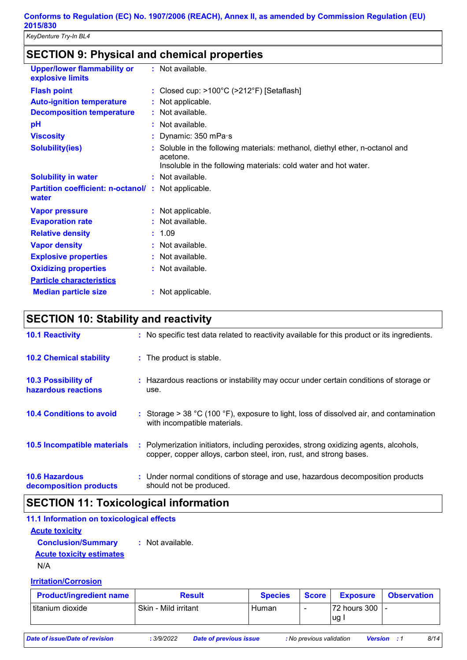# **SECTION 9: Physical and chemical properties**

| <b>Upper/lower flammability or</b><br>explosive limits      | : Not available.                                                                                                                                            |
|-------------------------------------------------------------|-------------------------------------------------------------------------------------------------------------------------------------------------------------|
| <b>Flash point</b>                                          | : Closed cup: $>100^{\circ}$ C ( $>212^{\circ}$ F) [Setaflash]                                                                                              |
| <b>Auto-ignition temperature</b>                            | : Not applicable.                                                                                                                                           |
| <b>Decomposition temperature</b>                            | : Not available.                                                                                                                                            |
| pH                                                          | : Not available.                                                                                                                                            |
| <b>Viscosity</b>                                            | : Dynamic: 350 mPa·s                                                                                                                                        |
| <b>Solubility(ies)</b>                                      | : Soluble in the following materials: methanol, diethyl ether, n-octanol and<br>acetone.<br>Insoluble in the following materials: cold water and hot water. |
| <b>Solubility in water</b>                                  | : Not available.                                                                                                                                            |
| Partition coefficient: n-octanol/: Not applicable.<br>water |                                                                                                                                                             |
| <b>Vapor pressure</b>                                       | : Not applicable.                                                                                                                                           |
| <b>Evaporation rate</b>                                     | : Not available.                                                                                                                                            |
| <b>Relative density</b>                                     | : 1.09                                                                                                                                                      |
| <b>Vapor density</b>                                        | : Not available.                                                                                                                                            |
| <b>Explosive properties</b>                                 | : Not available.                                                                                                                                            |
| <b>Oxidizing properties</b>                                 | : Not available.                                                                                                                                            |
| <b>Particle characteristics</b>                             |                                                                                                                                                             |
| <b>Median particle size</b>                                 | : Not applicable.                                                                                                                                           |

# **SECTION 10: Stability and reactivity**

| <b>10.1 Reactivity</b>                            | : No specific test data related to reactivity available for this product or its ingredients.                                                               |
|---------------------------------------------------|------------------------------------------------------------------------------------------------------------------------------------------------------------|
| <b>10.2 Chemical stability</b>                    | : The product is stable.                                                                                                                                   |
| <b>10.3 Possibility of</b><br>hazardous reactions | : Hazardous reactions or instability may occur under certain conditions of storage or<br>use.                                                              |
| <b>10.4 Conditions to avoid</b>                   | : Storage $> 38$ °C (100 °F), exposure to light, loss of dissolved air, and contamination<br>with incompatible materials.                                  |
| 10.5 Incompatible materials                       | : Polymerization initiators, including peroxides, strong oxidizing agents, alcohols,<br>copper, copper alloys, carbon steel, iron, rust, and strong bases. |
| <b>10.6 Hazardous</b><br>decomposition products   | : Under normal conditions of storage and use, hazardous decomposition products<br>should not be produced.                                                  |

# **SECTION 11: Toxicological information**

| 11.1 Information on toxicological effects |                  |
|-------------------------------------------|------------------|
| <b>Acute toxicity</b>                     |                  |
| <b>Conclusion/Summary</b>                 | : Not available. |
| <b>Acute toxicity estimates</b>           |                  |
|                                           |                  |

N/A

#### **Irritation/Corrosion**

| <b>Product/ingredient name</b> | <b>Result</b>        | <b>Species</b> | Score                    | <b>Exposure</b>              | <b>Observation</b> |
|--------------------------------|----------------------|----------------|--------------------------|------------------------------|--------------------|
| titanium dioxide               | Skin - Mild irritant | Human          | $\overline{\phantom{0}}$ | $ 72$ hours 300 $ $ -<br>lug |                    |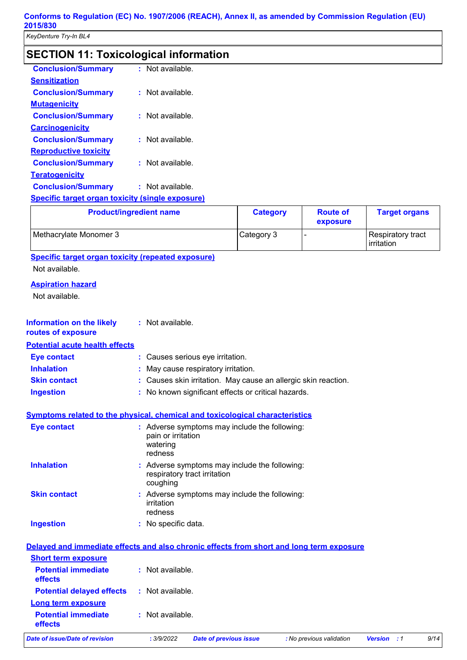# **SECTION 11: Toxicological information**

| <b>Conclusion/Summary</b>                               | $:$ Not available. |
|---------------------------------------------------------|--------------------|
| <b>Sensitization</b>                                    |                    |
| <b>Conclusion/Summary</b>                               | $:$ Not available. |
| <b>Mutagenicity</b>                                     |                    |
| <b>Conclusion/Summary</b>                               | $:$ Not available. |
| <b>Carcinogenicity</b>                                  |                    |
| <b>Conclusion/Summary</b>                               | $:$ Not available. |
| <b>Reproductive toxicity</b>                            |                    |
| <b>Conclusion/Summary</b>                               | Not available.     |
| <b>Teratogenicity</b>                                   |                    |
| <b>Conclusion/Summary</b>                               | $:$ Not available. |
| <b>Specific target organ toxicity (single exposure)</b> |                    |

| <b>Product/ingredient name</b> | <b>Category</b> | <b>Route of</b><br>exposure | <b>Target organs</b>            |
|--------------------------------|-----------------|-----------------------------|---------------------------------|
| Methacrylate Monomer 3         | Category 3      |                             | Respiratory tract<br>irritation |

**Specific target organ toxicity (repeated exposure)**

Not available.

#### **Aspiration hazard**

Not available.

| <b>Information on the likely</b><br>routes of exposure                                   | : Not available.                          |                                                                               |                          |                |    |      |
|------------------------------------------------------------------------------------------|-------------------------------------------|-------------------------------------------------------------------------------|--------------------------|----------------|----|------|
| <b>Potential acute health effects</b>                                                    |                                           |                                                                               |                          |                |    |      |
| <b>Eye contact</b>                                                                       |                                           | : Causes serious eye irritation.                                              |                          |                |    |      |
| <b>Inhalation</b>                                                                        |                                           | May cause respiratory irritation.                                             |                          |                |    |      |
| <b>Skin contact</b>                                                                      |                                           | Causes skin irritation. May cause an allergic skin reaction.                  |                          |                |    |      |
| <b>Ingestion</b>                                                                         |                                           | : No known significant effects or critical hazards.                           |                          |                |    |      |
| <b>Symptoms related to the physical, chemical and toxicological characteristics</b>      |                                           |                                                                               |                          |                |    |      |
| <b>Eye contact</b>                                                                       | pain or irritation<br>watering<br>redness | : Adverse symptoms may include the following:                                 |                          |                |    |      |
| <b>Inhalation</b>                                                                        | coughing                                  | : Adverse symptoms may include the following:<br>respiratory tract irritation |                          |                |    |      |
| <b>Skin contact</b>                                                                      | irritation<br>redness                     | Adverse symptoms may include the following:                                   |                          |                |    |      |
| <b>Ingestion</b>                                                                         | : No specific data.                       |                                                                               |                          |                |    |      |
| Delayed and immediate effects and also chronic effects from short and long term exposure |                                           |                                                                               |                          |                |    |      |
| <b>Short term exposure</b>                                                               |                                           |                                                                               |                          |                |    |      |
| <b>Potential immediate</b><br>effects                                                    | : Not available.                          |                                                                               |                          |                |    |      |
| <b>Potential delayed effects</b>                                                         | : Not available.                          |                                                                               |                          |                |    |      |
| Long term exposure                                                                       |                                           |                                                                               |                          |                |    |      |
| <b>Potential immediate</b><br>effects                                                    | : Not available.                          |                                                                               |                          |                |    |      |
| <b>Date of issue/Date of revision</b>                                                    | : 3/9/2022                                | <b>Date of previous issue</b>                                                 | : No previous validation | <b>Version</b> | :1 | 9/14 |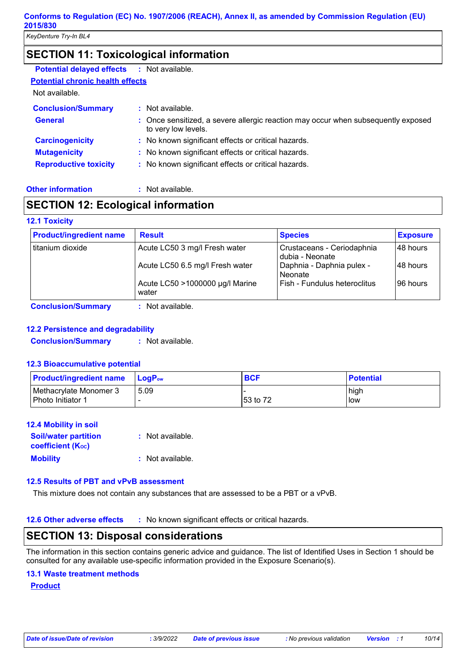## **SECTION 11: Toxicological information**

| <b>Potential delayed effects</b>        | : Not available.                                                                                         |
|-----------------------------------------|----------------------------------------------------------------------------------------------------------|
| <b>Potential chronic health effects</b> |                                                                                                          |
| Not available.                          |                                                                                                          |
| <b>Conclusion/Summary</b>               | : Not available.                                                                                         |
| <b>General</b>                          | : Once sensitized, a severe allergic reaction may occur when subsequently exposed<br>to very low levels. |
| <b>Carcinogenicity</b>                  | : No known significant effects or critical hazards.                                                      |
| <b>Mutagenicity</b>                     | : No known significant effects or critical hazards.                                                      |
| <b>Reproductive toxicity</b>            | : No known significant effects or critical hazards.                                                      |
|                                         |                                                                                                          |

#### **Other information :**

: Not available.

# **SECTION 12: Ecological information**

#### **12.1 Toxicity**

|                   |                                          | <b>Species</b>                                | <b>Exposure</b> |
|-------------------|------------------------------------------|-----------------------------------------------|-----------------|
| Ititanium dioxide | Acute LC50 3 mg/l Fresh water            | Crustaceans - Ceriodaphnia<br>dubia - Neonate | l 48 hours      |
|                   | Acute LC50 6.5 mg/l Fresh water          | Daphnia - Daphnia pulex -<br>Neonate          | 48 hours        |
|                   | Acute LC50 >1000000 µg/l Marine<br>water | Fish - Fundulus heteroclitus                  | 196 hours       |

**Conclusion/Summary :** Not available.

#### **12.2 Persistence and degradability**

**Conclusion/Summary :** Not available.

#### **12.3 Bioaccumulative potential**

| <b>Product/ingredient name</b>              | $\mathsf{LocP}_\mathsf{ow}$ | <b>BCF</b> | <b>Potential</b> |
|---------------------------------------------|-----------------------------|------------|------------------|
| Methacrylate Monomer 3<br>Photo Initiator 1 | 5.09                        | 153 to 72  | high<br>l low    |

#### **12.4 Mobility in soil**

| <b>Soil/water partition</b> | : Not available. |
|-----------------------------|------------------|
| <b>coefficient (Koc)</b>    |                  |
| <b>Mobility</b>             | : Not available. |

#### **12.5 Results of PBT and vPvB assessment**

This mixture does not contain any substances that are assessed to be a PBT or a vPvB.

**12.6 Other adverse effects** : No known significant effects or critical hazards.

### **SECTION 13: Disposal considerations**

The information in this section contains generic advice and guidance. The list of Identified Uses in Section 1 should be consulted for any available use-specific information provided in the Exposure Scenario(s).

#### **13.1 Waste treatment methods**

**Product**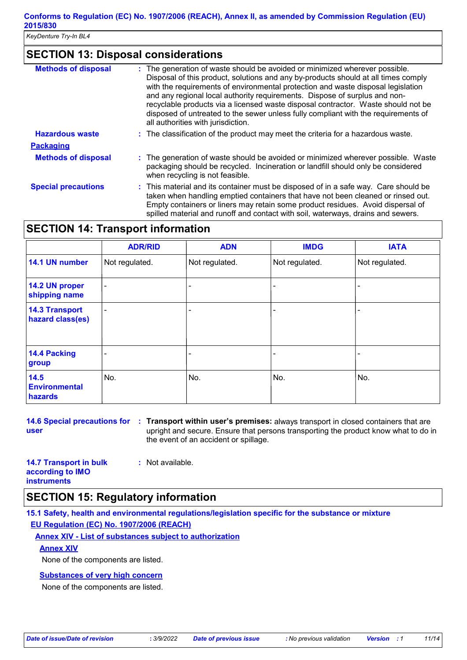# **SECTION 13: Disposal considerations**

| <b>Methods of disposal</b> | The generation of waste should be avoided or minimized wherever possible.<br>Disposal of this product, solutions and any by-products should at all times comply<br>with the requirements of environmental protection and waste disposal legislation<br>and any regional local authority requirements. Dispose of surplus and non-<br>recyclable products via a licensed waste disposal contractor. Waste should not be<br>disposed of untreated to the sewer unless fully compliant with the requirements of<br>all authorities with jurisdiction. |
|----------------------------|----------------------------------------------------------------------------------------------------------------------------------------------------------------------------------------------------------------------------------------------------------------------------------------------------------------------------------------------------------------------------------------------------------------------------------------------------------------------------------------------------------------------------------------------------|
| <b>Hazardous waste</b>     | : The classification of the product may meet the criteria for a hazardous waste.                                                                                                                                                                                                                                                                                                                                                                                                                                                                   |
| <b>Packaging</b>           |                                                                                                                                                                                                                                                                                                                                                                                                                                                                                                                                                    |
| <b>Methods of disposal</b> | : The generation of waste should be avoided or minimized wherever possible. Waste<br>packaging should be recycled. Incineration or landfill should only be considered<br>when recycling is not feasible.                                                                                                                                                                                                                                                                                                                                           |
| <b>Special precautions</b> | : This material and its container must be disposed of in a safe way. Care should be<br>taken when handling emptied containers that have not been cleaned or rinsed out.<br>Empty containers or liners may retain some product residues. Avoid dispersal of<br>spilled material and runoff and contact with soil, waterways, drains and sewers.                                                                                                                                                                                                     |

# **SECTION 14: Transport information**

|                                           | <b>ADR/RID</b> | <b>ADN</b>     | <b>IMDG</b>    | <b>IATA</b>    |
|-------------------------------------------|----------------|----------------|----------------|----------------|
| 14.1 UN number                            | Not regulated. | Not regulated. | Not regulated. | Not regulated. |
| 14.2 UN proper<br>shipping name           | ۰              |                |                |                |
| <b>14.3 Transport</b><br>hazard class(es) |                |                |                |                |
| 14.4 Packing<br>group                     |                |                |                |                |
| 14.5<br><b>Environmental</b><br>hazards   | No.            | No.            | No.            | No.            |

**14.6 Special precautions for Transport within user's premises:** always transport in closed containers that are **: user** upright and secure. Ensure that persons transporting the product know what to do in the event of an accident or spillage.

| <b>14.7 Transport in bulk</b> | : Not available. |
|-------------------------------|------------------|
| according to IMO              |                  |
| <b>instruments</b>            |                  |

# **SECTION 15: Regulatory information**

**15.1 Safety, health and environmental regulations/legislation specific for the substance or mixture EU Regulation (EC) No. 1907/2006 (REACH)**

**Annex XIV - List of substances subject to authorization**

#### **Annex XIV**

None of the components are listed.

### **Substances of very high concern**

None of the components are listed.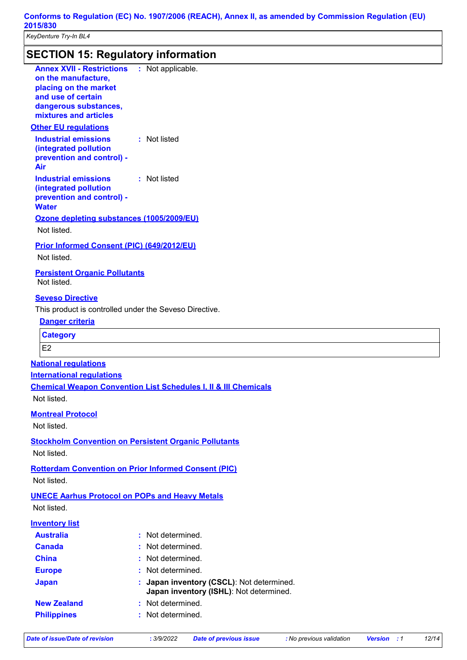# **SECTION 15: Regulatory information**

| <b>Annex XVII - Restrictions : Not applicable.</b><br>on the manufacture,<br>placing on the market<br>and use of certain<br>dangerous substances,<br>mixtures and articles |                                                                            |
|----------------------------------------------------------------------------------------------------------------------------------------------------------------------------|----------------------------------------------------------------------------|
| <b>Other EU regulations</b>                                                                                                                                                |                                                                            |
| <b>Industrial emissions</b><br>(integrated pollution<br>prevention and control) -<br>Air                                                                                   | : Not listed                                                               |
| <b>Industrial emissions</b><br>(integrated pollution<br>prevention and control) -<br><b>Water</b>                                                                          | : Not listed                                                               |
| Ozone depleting substances (1005/2009/EU)<br>Not listed.                                                                                                                   |                                                                            |
| <b>Prior Informed Consent (PIC) (649/2012/EU)</b><br>Not listed.                                                                                                           |                                                                            |
| <b>Persistent Organic Pollutants</b><br>Not listed.                                                                                                                        |                                                                            |
| <b>Seveso Directive</b>                                                                                                                                                    |                                                                            |
| This product is controlled under the Seveso Directive.                                                                                                                     |                                                                            |
| Danger criteria                                                                                                                                                            |                                                                            |
| <b>Category</b>                                                                                                                                                            |                                                                            |
| E <sub>2</sub>                                                                                                                                                             |                                                                            |
| <b>National regulations</b>                                                                                                                                                |                                                                            |
| <b>International requlations</b>                                                                                                                                           |                                                                            |
|                                                                                                                                                                            | <b>Chemical Weapon Convention List Schedules I, II &amp; III Chemicals</b> |
| Not listed.                                                                                                                                                                |                                                                            |
| <b>Montreal Protocol</b>                                                                                                                                                   |                                                                            |
| Not listed.                                                                                                                                                                |                                                                            |
|                                                                                                                                                                            |                                                                            |
| <b>Stockholm Convention on Persistent Organic Pollutants</b><br>Not listed.                                                                                                |                                                                            |
|                                                                                                                                                                            |                                                                            |
| <b>Rotterdam Convention on Prior Informed Consent (PIC)</b><br>Not listed.                                                                                                 |                                                                            |
|                                                                                                                                                                            |                                                                            |
| <b>UNECE Aarhus Protocol on POPs and Heavy Metals</b><br>Not listed.                                                                                                       |                                                                            |
|                                                                                                                                                                            |                                                                            |
| <b>Inventory list</b><br><b>Australia</b>                                                                                                                                  | Not determined.                                                            |
| <b>Canada</b>                                                                                                                                                              | Not determined.                                                            |
| <b>China</b>                                                                                                                                                               | Not determined.                                                            |
| <b>Europe</b>                                                                                                                                                              | Not determined.                                                            |
| <b>Japan</b>                                                                                                                                                               | Japan inventory (CSCL): Not determined.                                    |
|                                                                                                                                                                            | Japan inventory (ISHL): Not determined.                                    |
| <b>New Zealand</b>                                                                                                                                                         | Not determined.                                                            |
| <b>Philippines</b>                                                                                                                                                         | Not determined.                                                            |
|                                                                                                                                                                            |                                                                            |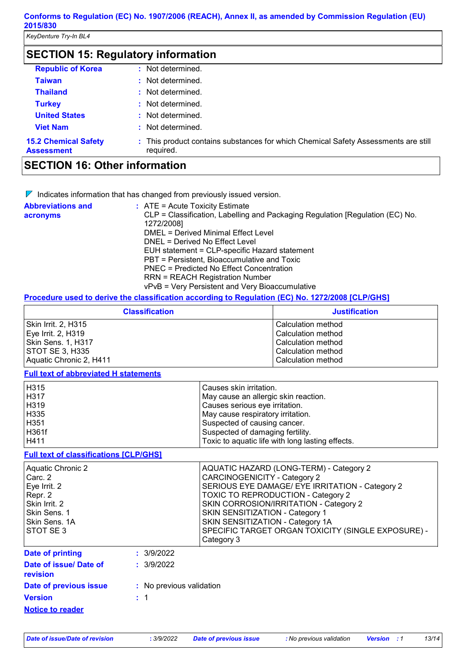*KeyDenture Try-In BL4* 

**Assessment**

| <b>SECTION 15: Regulatory information</b> |                                                                                    |
|-------------------------------------------|------------------------------------------------------------------------------------|
| <b>Republic of Korea</b>                  | : Not determined.                                                                  |
| Taiwan                                    | : Not determined.                                                                  |
| <b>Thailand</b>                           | : Not determined.                                                                  |
| <b>Turkey</b>                             | : Not determined.                                                                  |
| <b>United States</b>                      | : Not determined.                                                                  |
| <b>Viet Nam</b>                           | : Not determined.                                                                  |
| <b>15.2 Chemical Safety</b>               | : This product contains substances for which Chemical Safety Assessments are still |

# **SECTION 16: Other information**

 $\nabla$  Indicates information that has changed from previously issued version.

required.

| <b>Abbreviations and</b> | : ATE = Acute Toxicity Estimate                                               |
|--------------------------|-------------------------------------------------------------------------------|
| acronyms                 | CLP = Classification, Labelling and Packaging Regulation [Regulation (EC) No. |
|                          | 1272/2008]                                                                    |
|                          | DMEL = Derived Minimal Effect Level                                           |
|                          | DNEL = Derived No Effect Level                                                |
|                          | EUH statement = CLP-specific Hazard statement                                 |
|                          | PBT = Persistent, Bioaccumulative and Toxic                                   |
|                          | PNEC = Predicted No Effect Concentration                                      |
|                          | <b>RRN = REACH Registration Number</b>                                        |
|                          | vPvB = Very Persistent and Very Bioaccumulative                               |

#### **Procedure used to derive the classification according to Regulation (EC) No. 1272/2008 [CLP/GHS]**

| <b>Classification</b>      | <b>Justification</b> |
|----------------------------|----------------------|
| <b>Skin Irrit. 2, H315</b> | Calculation method   |
| Eye Irrit. 2, H319         | Calculation method   |
| Skin Sens. 1, H317         | Calculation method   |
| <b>STOT SE 3, H335</b>     | Calculation method   |
| Aquatic Chronic 2, H411    | Calculation method   |

#### **Full text of abbreviated H statements**

| H315  | Causes skin irritation.                          |
|-------|--------------------------------------------------|
| H317  | May cause an allergic skin reaction.             |
| H319  | Causes serious eye irritation.                   |
| H335  | May cause respiratory irritation.                |
| H351  | Suspected of causing cancer.                     |
| H361f | Suspected of damaging fertility.                 |
| H411  | Toxic to aquatic life with long lasting effects. |

#### **Full text of classifications [CLP/GHS]**

| Aquatic Chronic 2<br>Carc. 2<br>Eye Irrit. 2<br>Repr. 2<br>Skin Irrit. 2<br>Skin Sens. 1<br>Skin Sens. 1A<br>STOT SE3 |            | AQUATIC HAZARD (LONG-TERM) - Category 2<br><b>CARCINOGENICITY - Category 2</b><br>SERIOUS EYE DAMAGE/ EYE IRRITATION - Category 2<br><b>TOXIC TO REPRODUCTION - Category 2</b><br>SKIN CORROSION/IRRITATION - Category 2<br>SKIN SENSITIZATION - Category 1<br>SKIN SENSITIZATION - Category 1A<br>SPECIFIC TARGET ORGAN TOXICITY (SINGLE EXPOSURE) -<br>Category 3 |
|-----------------------------------------------------------------------------------------------------------------------|------------|---------------------------------------------------------------------------------------------------------------------------------------------------------------------------------------------------------------------------------------------------------------------------------------------------------------------------------------------------------------------|
| Date of printing                                                                                                      | : 3/9/2022 |                                                                                                                                                                                                                                                                                                                                                                     |
| Date of issue/ Date of                                                                                                | : 3/9/2022 |                                                                                                                                                                                                                                                                                                                                                                     |

| revision                |                          |
|-------------------------|--------------------------|
| Date of previous issue  | : No previous validation |
| <b>Version</b>          | : 1                      |
| <b>Notice to reader</b> |                          |